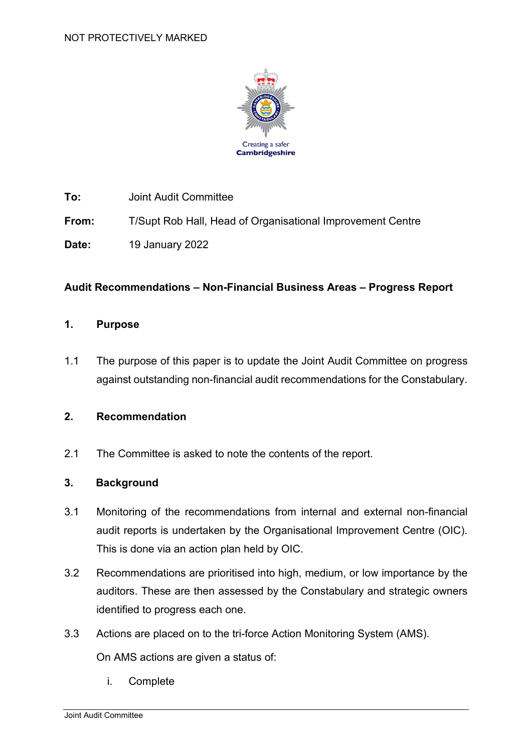

**To:** Joint Audit Committee

**From:** T/Supt Rob Hall, Head of Organisational Improvement Centre

**Date:** 19 January 2022

### **Audit Recommendations – Non-Financial Business Areas – Progress Report**

#### **1. Purpose**

1.1 The purpose of this paper is to update the Joint Audit Committee on progress against outstanding non-financial audit recommendations for the Constabulary.

### **2. Recommendation**

2.1 The Committee is asked to note the contents of the report.

### **3. Background**

- 3.1 Monitoring of the recommendations from internal and external non-financial audit reports is undertaken by the Organisational Improvement Centre (OIC). This is done via an action plan held by OIC.
- 3.2 Recommendations are prioritised into high, medium, or low importance by the auditors. These are then assessed by the Constabulary and strategic owners identified to progress each one.
- 3.3 Actions are placed on to the tri-force Action Monitoring System (AMS).

On AMS actions are given a status of:

i. Complete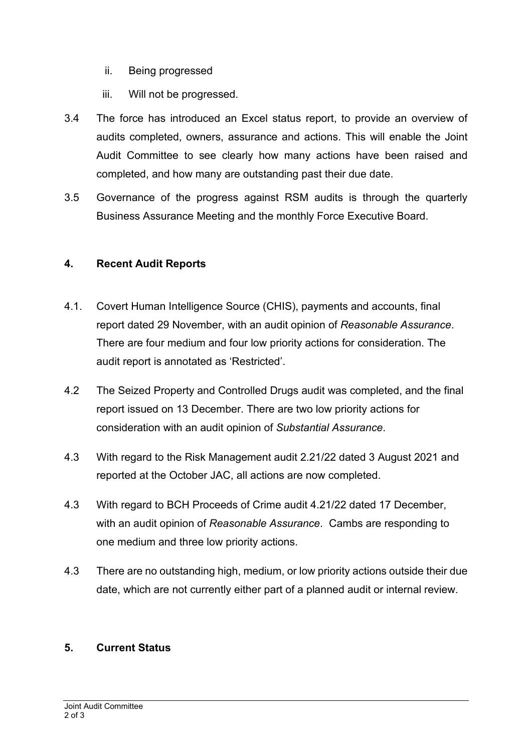- ii. Being progressed
- iii. Will not be progressed.
- 3.4 The force has introduced an Excel status report, to provide an overview of audits completed, owners, assurance and actions. This will enable the Joint Audit Committee to see clearly how many actions have been raised and completed, and how many are outstanding past their due date.
- 3.5 Governance of the progress against RSM audits is through the quarterly Business Assurance Meeting and the monthly Force Executive Board.

## **4. Recent Audit Reports**

- 4.1. Covert Human Intelligence Source (CHIS), payments and accounts, final report dated 29 November, with an audit opinion of *Reasonable Assurance*. There are four medium and four low priority actions for consideration. The audit report is annotated as 'Restricted'.
- 4.2 The Seized Property and Controlled Drugs audit was completed, and the final report issued on 13 December. There are two low priority actions for consideration with an audit opinion of *Substantial Assurance*.
- 4.3 With regard to the Risk Management audit 2.21/22 dated 3 August 2021 and reported at the October JAC, all actions are now completed.
- 4.3 With regard to BCH Proceeds of Crime audit 4.21/22 dated 17 December, with an audit opinion of *Reasonable Assurance*. Cambs are responding to one medium and three low priority actions.
- 4.3 There are no outstanding high, medium, or low priority actions outside their due date, which are not currently either part of a planned audit or internal review.

## **5. Current Status**